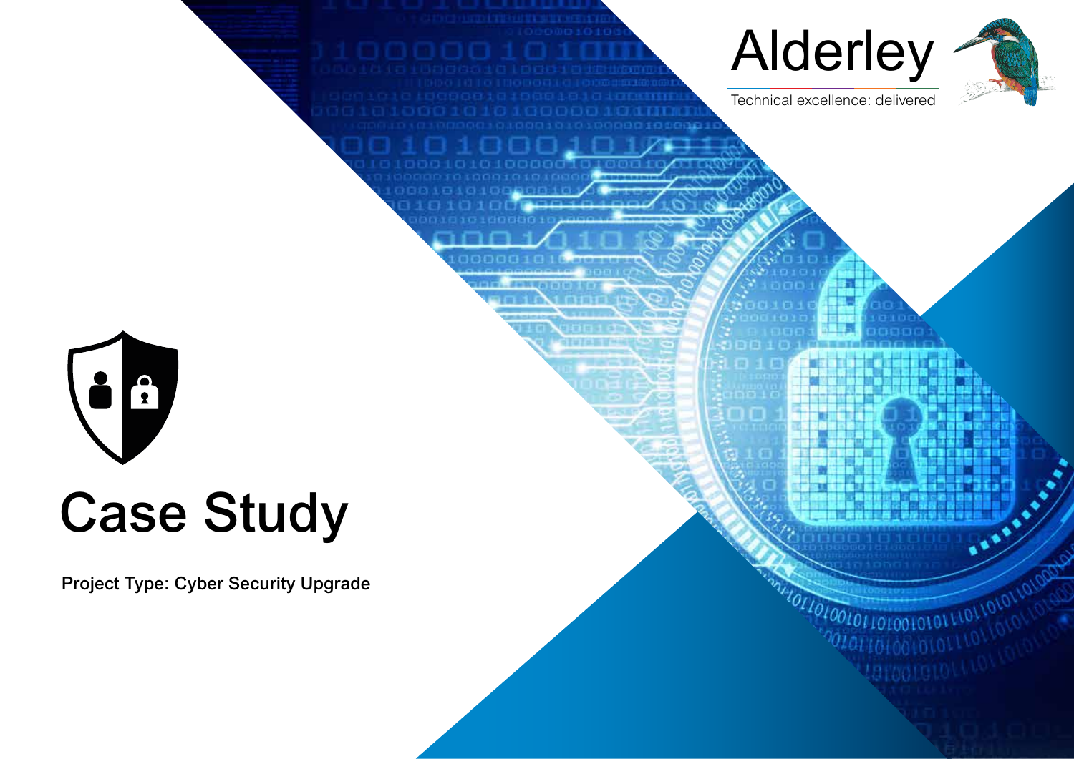

# Case Study

Project Type: Cyber Security Upgrade



ж

0101101001



Technical excellence: delivered

 $7573$